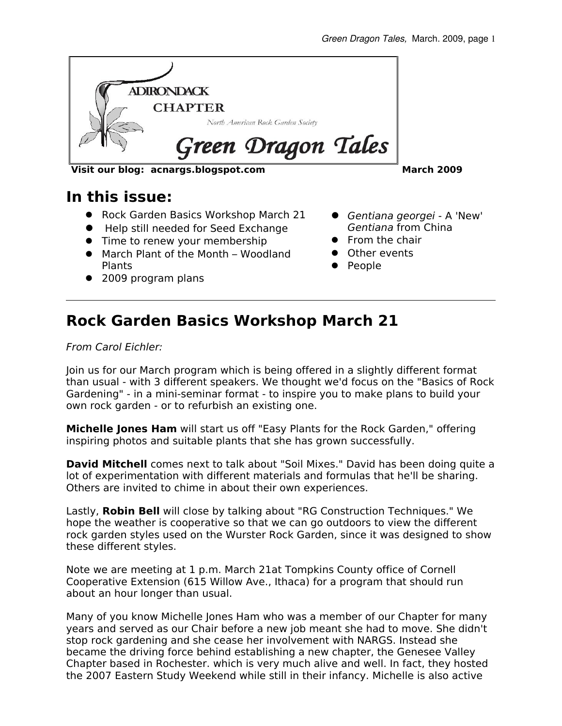

**Visit our blog: acnargs.blogspot.com March 2009**

#### **In this issue:**

- Rock Garden Basics Workshop March 21
- Help still needed for Seed Exchange
- Time to renew your membership
- March Plant of the Month Woodland Plants
- 2009 program plans

- Gentiana georgei A 'New' Gentiana from China
- **•** From the chair
- **•** Other events
- People

### **Rock Garden Basics Workshop March 21**

From Carol Eichler:

Join us for our March program which is being offered in a slightly different format than usual - with 3 different speakers. We thought we'd focus on the "Basics of Rock Gardening" - in a mini-seminar format - to inspire you to make plans to build your own rock garden - or to refurbish an existing one.

**Michelle Jones Ham** will start us off "Easy Plants for the Rock Garden," offering inspiring photos and suitable plants that she has grown successfully.

**David Mitchell** comes next to talk about "Soil Mixes." David has been doing quite a lot of experimentation with different materials and formulas that he'll be sharing. Others are invited to chime in about their own experiences.

Lastly, **Robin Bell** will close by talking about "RG Construction Techniques." We hope the weather is cooperative so that we can go outdoors to view the different rock garden styles used on the Wurster Rock Garden, since it was designed to show these different styles.

Note we are meeting at 1 p.m. March 21at Tompkins County office of Cornell Cooperative Extension (615 Willow Ave., Ithaca) for a program that should run about an hour longer than usual.

Many of you know Michelle Jones Ham who was a member of our Chapter for many years and served as our Chair before a new job meant she had to move. She didn't stop rock gardening and she cease her involvement with NARGS. Instead she became the driving force behind establishing a new chapter, the Genesee Valley Chapter based in Rochester. which is very much alive and well. In fact, they hosted the 2007 Eastern Study Weekend while still in their infancy. Michelle is also active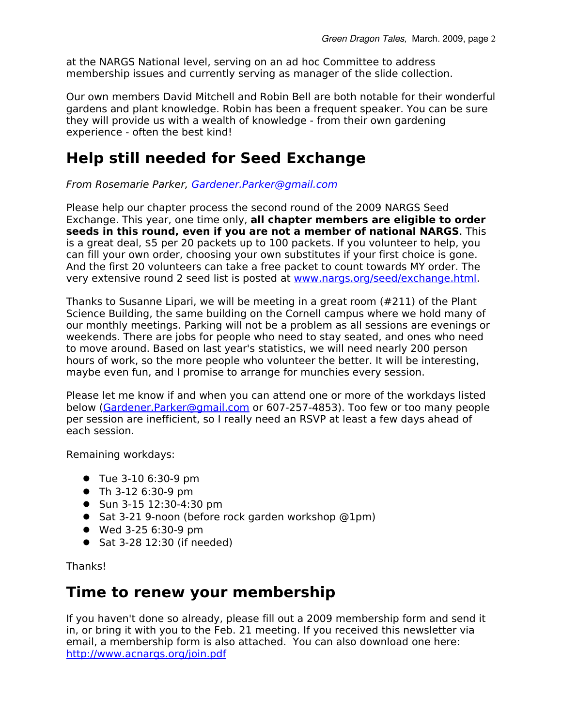at the NARGS National level, serving on an ad hoc Committee to address membership issues and currently serving as manager of the slide collection.

Our own members David Mitchell and Robin Bell are both notable for their wonderful gardens and plant knowledge. Robin has been a frequent speaker. You can be sure they will provide us with a wealth of knowledge - from their own gardening experience - often the best kind!

#### **Help still needed for Seed Exchange**

From Rosemarie Parker, [Gardener.Parker@gmail.com](mailto:Gardener.Parker@gmail.com)

Please help our chapter process the second round of the 2009 NARGS Seed Exchange. This year, one time only, **all chapter members are eligible to order seeds in this round, even if you are not a member of national NARGS**. This is a great deal, \$5 per 20 packets up to 100 packets. If you volunteer to help, you can fill your own order, choosing your own substitutes if your first choice is gone. And the first 20 volunteers can take a free packet to count towards MY order. The very extensive round 2 seed list is posted at [www.nargs.org/seed/exchange.html.](http://www.nargs.org/seed/exchange.html)

Thanks to Susanne Lipari, we will be meeting in a great room (#211) of the Plant Science Building, the same building on the Cornell campus where we hold many of our monthly meetings. Parking will not be a problem as all sessions are evenings or weekends. There are jobs for people who need to stay seated, and ones who need to move around. Based on last year's statistics, we will need nearly 200 person hours of work, so the more people who volunteer the better. It will be interesting, maybe even fun, and I promise to arrange for munchies every session.

Please let me know if and when you can attend one or more of the workdays listed below (Gardener. Parker@gmail.com or 607-257-4853). Too few or too many people per session are inefficient, so I really need an RSVP at least a few days ahead of each session.

Remaining workdays:

- Tue 3-10 6:30-9 pm
- Th 3-12 6:30-9 pm
- Sun 3-15 12:30-4:30 pm
- Sat 3-21 9-noon (before rock garden workshop @1pm)
- Wed 3-25 6:30-9 pm
- $\bullet$  Sat 3-28 12:30 (if needed)

Thanks!

#### **Time to renew your membership**

If you haven't done so already, please fill out a 2009 membership form and send it in, or bring it with you to the Feb. 21 meeting. If you received this newsletter via email, a membership form is also attached. You can also download one here: <http://www.acnargs.org/join.pdf>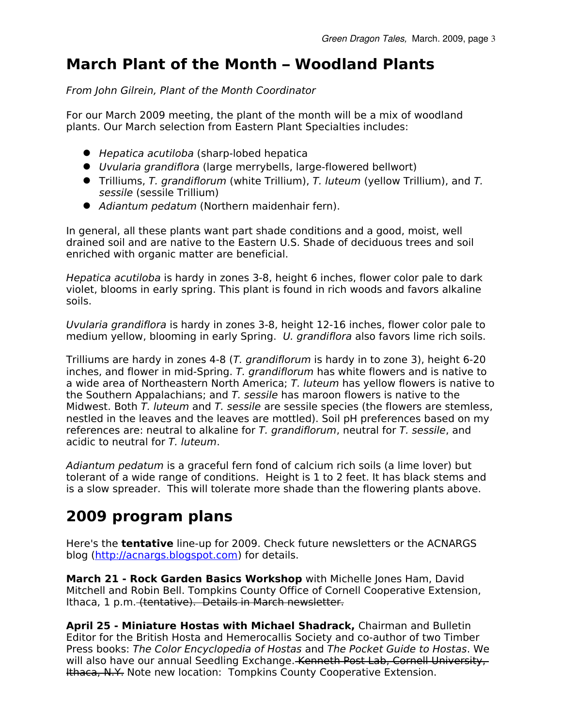# **March Plant of the Month – Woodland Plants**

From John Gilrein, Plant of the Month Coordinator

For our March 2009 meeting, the plant of the month will be a mix of woodland plants. Our March selection from Eastern Plant Specialties includes:

- Hepatica acutiloba (sharp-lobed hepatica
- Uvularia grandiflora (large merrybells, large-flowered bellwort)
- Trilliums, T. grandiflorum (white Trillium), T. luteum (yellow Trillium), and T. sessile (sessile Trillium)
- Adiantum pedatum (Northern maidenhair fern).

In general, all these plants want part shade conditions and a good, moist, well drained soil and are native to the Eastern U.S. Shade of deciduous trees and soil enriched with organic matter are beneficial.

Hepatica acutiloba is hardy in zones 3-8, height 6 inches, flower color pale to dark violet, blooms in early spring. This plant is found in rich woods and favors alkaline soils.

Uvularia grandiflora is hardy in zones 3-8, height 12-16 inches, flower color pale to medium yellow, blooming in early Spring. U. grandiflora also favors lime rich soils.

Trilliums are hardy in zones 4-8 (T. grandiflorum is hardy in to zone 3), height 6-20 inches, and flower in mid-Spring. T. grandiflorum has white flowers and is native to a wide area of Northeastern North America; T. luteum has yellow flowers is native to the Southern Appalachians; and  $T$ . sessile has maroon flowers is native to the Midwest. Both T. luteum and T. sessile are sessile species (the flowers are stemless, nestled in the leaves and the leaves are mottled). Soil pH preferences based on my references are: neutral to alkaline for T. grandiflorum, neutral for T. sessile, and acidic to neutral for T. luteum.

Adiantum pedatum is a graceful fern fond of calcium rich soils (a lime lover) but tolerant of a wide range of conditions. Height is 1 to 2 feet. It has black stems and is a slow spreader. This will tolerate more shade than the flowering plants above.

# **2009 program plans**

Here's the **tentative** line-up for 2009. Check future newsletters or the ACNARGS blog [\(http://acnargs.blogspot.com\)](http://acnargs.blogspot.com/) for details.

**March 21 - Rock Garden Basics Workshop** with Michelle Jones Ham, David Mitchell and Robin Bell. Tompkins County Office of Cornell Cooperative Extension, Ithaca, 1 p.m. (tentative). Details in March newsletter.

**April 25 - Miniature Hostas with Michael Shadrack,** Chairman and Bulletin Editor for the British Hosta and Hemerocallis Society and co-author of two Timber Press books: The Color Encyclopedia of Hostas and The Pocket Guide to Hostas. We will also have our annual Seedling Exchange. Kenneth Post Lab, Cornell University, Ithaca, N.Y. Note new location: Tompkins County Cooperative Extension.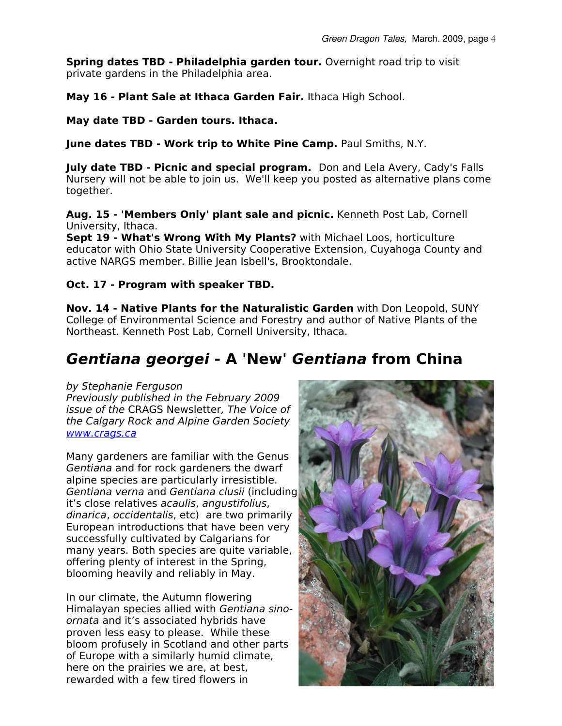**Spring dates TBD - Philadelphia garden tour.** Overnight road trip to visit private gardens in the Philadelphia area.

**May 16 - Plant Sale at Ithaca Garden Fair.** Ithaca High School.

**May date TBD - Garden tours. Ithaca.**

**June dates TBD - Work trip to White Pine Camp.** Paul Smiths, N.Y.

**July date TBD - Picnic and special program.** Don and Lela Avery, Cady's Falls Nursery will not be able to join us. We'll keep you posted as alternative plans come together.

**Aug. 15 - 'Members Only' plant sale and picnic.** Kenneth Post Lab, Cornell University, Ithaca.

**Sept 19 - What's Wrong With My Plants?** with Michael Loos, horticulture educator with Ohio State University Cooperative Extension, Cuyahoga County and active NARGS member. Billie Jean Isbell's, Brooktondale.

#### **Oct. 17 - Program with speaker TBD.**

**Nov. 14 - Native Plants for the Naturalistic Garden** with Don Leopold, SUNY College of Environmental Science and Forestry and author of Native Plants of the Northeast. Kenneth Post Lab, Cornell University, Ithaca.

# **Gentiana georgei - A 'New' Gentiana from China**

#### by Stephanie Ferguson

Previously published in the February 2009 issue of the CRAGS Newsletter, The Voice of the Calgary Rock and Alpine Garden Society [www.crags.ca](http://www.crags.ca/)

Many gardeners are familiar with the Genus Gentiana and for rock gardeners the dwarf alpine species are particularly irresistible. Gentiana verna and Gentiana clusii (including it's close relatives acaulis, angustifolius, dinarica, occidentalis, etc) are two primarily European introductions that have been very successfully cultivated by Calgarians for many years. Both species are quite variable, offering plenty of interest in the Spring, blooming heavily and reliably in May.

In our climate, the Autumn flowering Himalayan species allied with Gentiana sinoornata and it's associated hybrids have proven less easy to please. While these bloom profusely in Scotland and other parts of Europe with a similarly humid climate, here on the prairies we are, at best, rewarded with a few tired flowers in

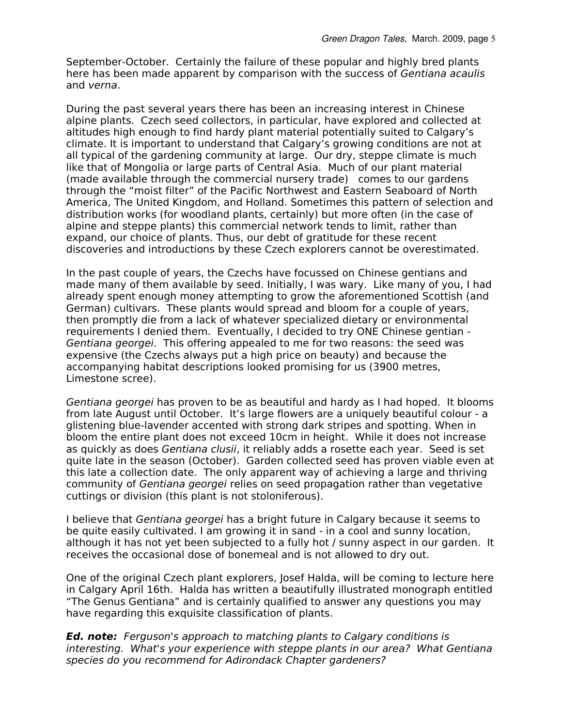September-October. Certainly the failure of these popular and highly bred plants here has been made apparent by comparison with the success of Gentiana acaulis and verna.

During the past several years there has been an increasing interest in Chinese alpine plants. Czech seed collectors, in particular, have explored and collected at altitudes high enough to find hardy plant material potentially suited to Calgary's climate. It is important to understand that Calgary's growing conditions are not at all typical of the gardening community at large. Our dry, steppe climate is much like that of Mongolia or large parts of Central Asia. Much of our plant material (made available through the commercial nursery trade) comes to our gardens through the "moist filter" of the Pacific Northwest and Eastern Seaboard of North America, The United Kingdom, and Holland. Sometimes this pattern of selection and distribution works (for woodland plants, certainly) but more often (in the case of alpine and steppe plants) this commercial network tends to limit, rather than expand, our choice of plants. Thus, our debt of gratitude for these recent discoveries and introductions by these Czech explorers cannot be overestimated.

In the past couple of years, the Czechs have focussed on Chinese gentians and made many of them available by seed. Initially, I was wary. Like many of you, I had already spent enough money attempting to grow the aforementioned Scottish (and German) cultivars. These plants would spread and bloom for a couple of years, then promptly die from a lack of whatever specialized dietary or environmental requirements I denied them. Eventually, I decided to try ONE Chinese gentian - Gentiana georgei. This offering appealed to me for two reasons: the seed was expensive (the Czechs always put a high price on beauty) and because the accompanying habitat descriptions looked promising for us (3900 metres, Limestone scree).

Gentiana georgei has proven to be as beautiful and hardy as I had hoped. It blooms from late August until October. It's large flowers are a uniquely beautiful colour - a glistening blue-lavender accented with strong dark stripes and spotting. When in bloom the entire plant does not exceed 10cm in height. While it does not increase as quickly as does Gentiana clusii, it reliably adds a rosette each year. Seed is set quite late in the season (October). Garden collected seed has proven viable even at this late a collection date. The only apparent way of achieving a large and thriving community of Gentiana georgei relies on seed propagation rather than vegetative cuttings or division (this plant is not stoloniferous).

I believe that Gentiana georgei has a bright future in Calgary because it seems to be quite easily cultivated. I am growing it in sand - in a cool and sunny location, although it has not yet been subjected to a fully hot / sunny aspect in our garden. It receives the occasional dose of bonemeal and is not allowed to dry out.

One of the original Czech plant explorers, Josef Halda, will be coming to lecture here in Calgary April 16th. Halda has written a beautifully illustrated monograph entitled "The Genus Gentiana" and is certainly qualified to answer any questions you may have regarding this exquisite classification of plants.

**Ed. note:** Ferguson's approach to matching plants to Calgary conditions is interesting. What's your experience with steppe plants in our area? What Gentiana species do you recommend for Adirondack Chapter gardeners?